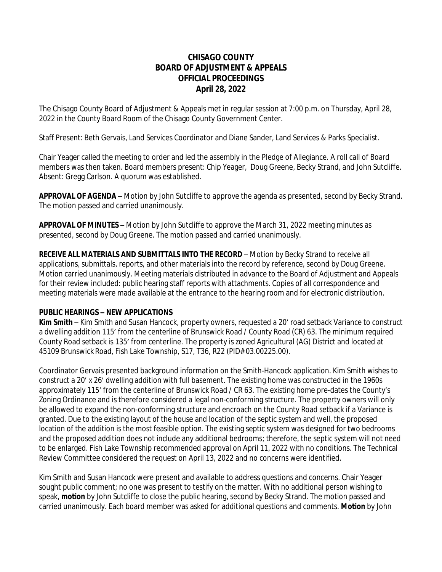# **CHISAGO COUNTY BOARD OF ADJUSTMENT & APPEALS OFFICIAL PROCEEDINGS April 28, 2022**

The Chisago County Board of Adjustment & Appeals met in regular session at 7:00 p.m. on Thursday, April 28, 2022 in the County Board Room of the Chisago County Government Center.

Staff Present: Beth Gervais, Land Services Coordinator and Diane Sander, Land Services & Parks Specialist.

Chair Yeager called the meeting to order and led the assembly in the Pledge of Allegiance. A roll call of Board members was then taken. Board members present: Chip Yeager, Doug Greene, Becky Strand, and John Sutcliffe. Absent: Gregg Carlson. A quorum was established.

**APPROVAL OF AGENDA** – Motion by John Sutcliffe to approve the agenda as presented, second by Becky Strand. The motion passed and carried unanimously.

**APPROVAL OF MINUTES** – Motion by John Sutcliffe to approve the March 31, 2022 meeting minutes as presented, second by Doug Greene. The motion passed and carried unanimously.

**RECEIVE ALL MATERIALS AND SUBMITTALS INTO THE RECORD** – Motion by Becky Strand to receive all applications, submittals, reports, and other materials into the record by reference, second by Doug Greene. Motion carried unanimously. Meeting materials distributed in advance to the Board of Adjustment and Appeals for their review included: public hearing staff reports with attachments. Copies of all correspondence and meeting materials were made available at the entrance to the hearing room and for electronic distribution.

### **PUBLIC HEARINGS – NEW APPLICATIONS**

**Kim Smith** – Kim Smith and Susan Hancock, property owners, requested a 20' road setback Variance to construct a dwelling addition 115' from the centerline of Brunswick Road / County Road (CR) 63. The minimum required County Road setback is 135' from centerline. The property is zoned Agricultural (AG) District and located at 45109 Brunswick Road, Fish Lake Township, S17, T36, R22 (PID# 03.00225.00).

Coordinator Gervais presented background information on the Smith-Hancock application. Kim Smith wishes to construct a 20' x 26' dwelling addition with full basement. The existing home was constructed in the 1960s approximately 115' from the centerline of Brunswick Road / CR 63. The existing home pre-dates the County's Zoning Ordinance and is therefore considered a legal non-conforming structure. The property owners will only be allowed to expand the non-conforming structure and encroach on the County Road setback if a Variance is granted. Due to the existing layout of the house and location of the septic system and well, the proposed location of the addition is the most feasible option. The existing septic system was designed for two bedrooms and the proposed addition does not include any additional bedrooms; therefore, the septic system will not need to be enlarged. Fish Lake Township recommended approval on April 11, 2022 with no conditions. The Technical Review Committee considered the request on April 13, 2022 and no concerns were identified.

Kim Smith and Susan Hancock were present and available to address questions and concerns. Chair Yeager sought public comment; no one was present to testify on the matter. With no additional person wishing to speak, *motion* by John Sutcliffe to close the public hearing, second by Becky Strand. The motion passed and carried unanimously. Each board member was asked for additional questions and comments. *Motion* by John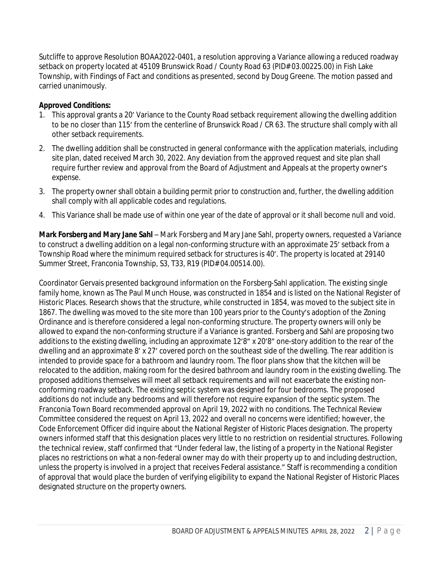Sutcliffe to approve Resolution BOAA2022-0401, a resolution approving a Variance allowing a reduced roadway setback on property located at 45109 Brunswick Road / County Road 63 (PID# 03.00225.00) in Fish Lake Township, with Findings of Fact and conditions as presented, second by Doug Greene. The motion passed and carried unanimously.

# **Approved Conditions:**

- 1. This approval grants a 20' Variance to the County Road setback requirement allowing the dwelling addition to be no closer than 115' from the centerline of Brunswick Road / CR 63. The structure shall comply with all other setback requirements.
- 2. The dwelling addition shall be constructed in general conformance with the application materials, including site plan, dated received March 30, 2022. Any deviation from the approved request and site plan shall require further review and approval from the Board of Adjustment and Appeals at the property owner's expense.
- 3. The property owner shall obtain a building permit prior to construction and, further, the dwelling addition shall comply with all applicable codes and regulations.
- 4. This Variance shall be made use of within one year of the date of approval or it shall become null and void.

**Mark Forsberg and Mary Jane Sahl** – Mark Forsberg and Mary Jane Sahl, property owners, requested a Variance to construct a dwelling addition on a legal non-conforming structure with an approximate 25' setback from a Township Road where the minimum required setback for structures is 40'. The property is located at 29140 Summer Street, Franconia Township, S3, T33, R19 (PID# 04.00514.00).

Coordinator Gervais presented background information on the Forsberg-Sahl application. The existing single family home, known as The Paul Munch House, was constructed in 1854 and is listed on the National Register of Historic Places. Research shows that the structure, while constructed in 1854, was moved to the subject site in 1867. The dwelling was moved to the site more than 100 years prior to the County's adoption of the Zoning Ordinance and is therefore considered a legal non-conforming structure. The property owners will only be allowed to expand the non-conforming structure if a Variance is granted. Forsberg and Sahl are proposing two additions to the existing dwelling, including an approximate 12'8" x 20'8" one-story addition to the rear of the dwelling and an approximate 8' x 27' covered porch on the southeast side of the dwelling. The rear addition is intended to provide space for a bathroom and laundry room. The floor plans show that the kitchen will be relocated to the addition, making room for the desired bathroom and laundry room in the existing dwelling. The proposed additions themselves will meet all setback requirements and will not exacerbate the existing nonconforming roadway setback. The existing septic system was designed for four bedrooms. The proposed additions do not include any bedrooms and will therefore not require expansion of the septic system. The Franconia Town Board recommended approval on April 19, 2022 with no conditions. The Technical Review Committee considered the request on April 13, 2022 and overall no concerns were identified; however, the Code Enforcement Officer did inquire about the National Register of Historic Places designation. The property owners informed staff that this designation places very little to no restriction on residential structures. Following the technical review, staff confirmed that "Under federal law, the listing of a property in the National Register places no restrictions on what a non-federal owner may do with their property up to and including destruction, unless the property is involved in a project that receives Federal assistance." Staff is recommending a condition of approval that would place the burden of verifying eligibility to expand the National Register of Historic Places designated structure on the property owners.